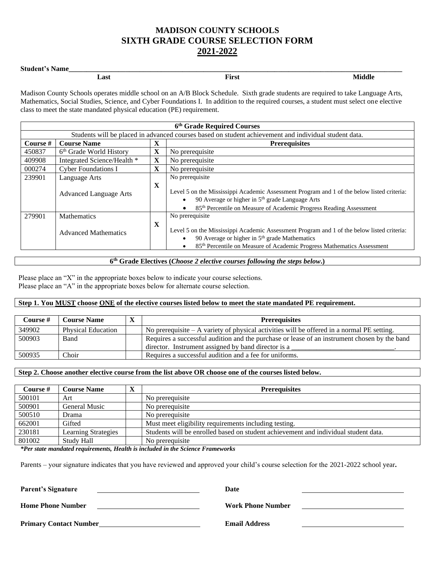# **MADISON COUNTY SCHOOLS SIXTH GRADE COURSE SELECTION FORM 2021-2022**

### Student's Name

| Last | $\mathbf{r}$<br>First<br>---- | <b>MG341</b><br>МL. |
|------|-------------------------------|---------------------|
|      |                               |                     |

Madison County Schools operates middle school on an A/B Block Schedule. Sixth grade students are required to take Language Arts, Mathematics, Social Studies, Science, and Cyber Foundations I. In addition to the required courses, a student must select one elective class to meet the state mandated physical education (PE) requirement.

|                                  | 6 <sup>th</sup> Grade Required Courses                                                                |   |                                                                                                                                                                                                                                                                       |  |  |  |
|----------------------------------|-------------------------------------------------------------------------------------------------------|---|-----------------------------------------------------------------------------------------------------------------------------------------------------------------------------------------------------------------------------------------------------------------------|--|--|--|
|                                  | Students will be placed in advanced courses based on student achievement and individual student data. |   |                                                                                                                                                                                                                                                                       |  |  |  |
| Course $#$                       | <b>Course Name</b>                                                                                    | X | <b>Prerequisites</b>                                                                                                                                                                                                                                                  |  |  |  |
| 450837                           | 6 <sup>th</sup> Grade World History                                                                   | X | No prerequisite                                                                                                                                                                                                                                                       |  |  |  |
| 409908                           | Integrated Science/Health *                                                                           | X | No prerequisite                                                                                                                                                                                                                                                       |  |  |  |
| 000274                           | <b>Cyber Foundations I</b>                                                                            | X | No prerequisite                                                                                                                                                                                                                                                       |  |  |  |
| 239901                           | Language Arts                                                                                         |   | No prerequisite                                                                                                                                                                                                                                                       |  |  |  |
|                                  | <b>Advanced Language Arts</b>                                                                         | X | Level 5 on the Mississippi Academic Assessment Program and 1 of the below listed criteria:<br>90 Average or higher in 5 <sup>th</sup> grade Language Arts<br>$\bullet$<br>85 <sup>th</sup> Percentile on Measure of Academic Progress Reading Assessment<br>$\bullet$ |  |  |  |
| 279901                           | <b>Mathematics</b>                                                                                    |   | No prerequisite                                                                                                                                                                                                                                                       |  |  |  |
| X<br><b>Advanced Mathematics</b> |                                                                                                       |   | Level 5 on the Mississippi Academic Assessment Program and 1 of the below listed criteria:<br>90 Average or higher in $5th$ grade Mathematics<br>$\bullet$<br>85 <sup>th</sup> Percentile on Measure of Academic Progress Mathematics Assessment<br>$\bullet$         |  |  |  |

#### **6 th Grade Electives (***Choose 2 elective courses following the steps below***.)**

Please place an "X" in the appropriate boxes below to indicate your course selections. Please place an "A" in the appropriate boxes below for alternate course selection.

## **Step 1. You MUST choose ONE of the elective courses listed below to meet the state mandated PE requirement.**

| Course # | <b>Course Name</b>        | $\mathbf{v}$ | <b>Prerequisites</b>                                                                                                                                |  |
|----------|---------------------------|--------------|-----------------------------------------------------------------------------------------------------------------------------------------------------|--|
| 349902   | <b>Physical Education</b> |              | No prerequisite $-A$ variety of physical activities will be offered in a normal PE setting.                                                         |  |
| 500903   | Band                      |              | Requires a successful audition and the purchase or lease of an instrument chosen by the band<br>director. Instrument assigned by band director is a |  |
| 500935   | Choir                     |              | Requires a successful audition and a fee for uniforms.                                                                                              |  |

### **Step 2. Choose another elective course from the list above OR choose one of the courses listed below.**

| Course # | <b>Course Name</b>         | $\Lambda$ | <b>Prerequisites</b>                                                                |
|----------|----------------------------|-----------|-------------------------------------------------------------------------------------|
| 500101   | Art                        |           | No prerequisite                                                                     |
| 500901   | General Music              |           | No prerequisite                                                                     |
| 500510   | Drama                      |           | No prerequisite                                                                     |
| 662001   | Gifted                     |           | Must meet eligibility requirements including testing.                               |
| 230181   | <b>Learning Strategies</b> |           | Students will be enrolled based on student achievement and individual student data. |
| 801002   | Study Hall                 |           | No prerequisite                                                                     |

*\*Per state mandated requirements, Health is included in the Science Frameworks*

Parents – your signature indicates that you have reviewed and approved your child's course selection for the 2021-2022 school year**.** 

| <b>Parent's Signature</b>     | Date                     |
|-------------------------------|--------------------------|
| <b>Home Phone Number</b>      | <b>Work Phone Number</b> |
| <b>Primary Contact Number</b> | <b>Email Address</b>     |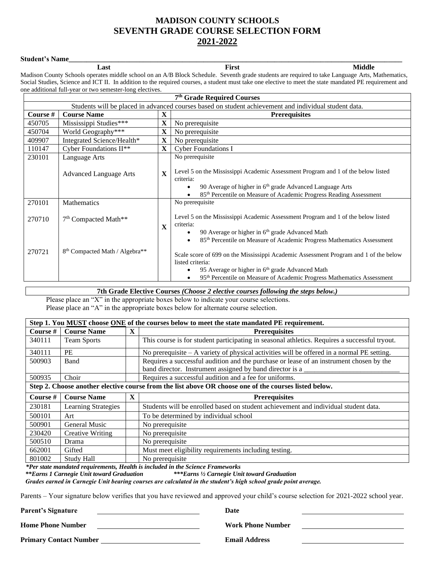## **MADISON COUNTY SCHOOLS SEVENTH GRADE COURSE SELECTION FORM 2021-2022**

#### Student's Name\_

**Last First Middle** Madison County Schools operates middle school on an A/B Block Schedule. Seventh grade students are required to take Language Arts, Mathematics, Social Studies, Science and ICT II. In addition to the required courses, a student must take one elective to meet the state mandated PE requirement and one additional full-year or two semester-long electives.

| 7 <sup>th</sup> Grade Required Courses |                                                                                                       |              |                                                                                                                                                                                                                                                          |  |  |  |  |  |
|----------------------------------------|-------------------------------------------------------------------------------------------------------|--------------|----------------------------------------------------------------------------------------------------------------------------------------------------------------------------------------------------------------------------------------------------------|--|--|--|--|--|
|                                        | Students will be placed in advanced courses based on student achievement and individual student data. |              |                                                                                                                                                                                                                                                          |  |  |  |  |  |
| Course #                               | <b>Course Name</b><br>X<br><b>Prerequisites</b>                                                       |              |                                                                                                                                                                                                                                                          |  |  |  |  |  |
| 450705                                 | Mississippi Studies***                                                                                | $\mathbf X$  | No prerequisite                                                                                                                                                                                                                                          |  |  |  |  |  |
| 450704                                 | World Geography***                                                                                    | $\mathbf X$  | No prerequisite                                                                                                                                                                                                                                          |  |  |  |  |  |
| 409907                                 | Integrated Science/Health*                                                                            | X            | No prerequisite                                                                                                                                                                                                                                          |  |  |  |  |  |
| 110147                                 | Cyber Foundations II**                                                                                | X            | <b>Cyber Foundations I</b>                                                                                                                                                                                                                               |  |  |  |  |  |
| 230101                                 | Language Arts                                                                                         |              | No prerequisite                                                                                                                                                                                                                                          |  |  |  |  |  |
|                                        | <b>Advanced Language Arts</b>                                                                         | $\mathbf{x}$ | Level 5 on the Mississippi Academic Assessment Program and 1 of the below listed<br>criteria:<br>90 Average of higher in 6th grade Advanced Language Arts<br>$\bullet$<br>85 <sup>th</sup> Percentile on Measure of Academic Progress Reading Assessment |  |  |  |  |  |
| 270101                                 | <b>Mathematics</b>                                                                                    |              | No prerequisite                                                                                                                                                                                                                                          |  |  |  |  |  |
| 270710                                 | 7 <sup>th</sup> Compacted Math**                                                                      | X            | Level 5 on the Mississippi Academic Assessment Program and 1 of the below listed<br>criteria:<br>90 Average or higher in $6th$ grade Advanced Math<br>$\bullet$                                                                                          |  |  |  |  |  |
|                                        |                                                                                                       |              | 85 <sup>th</sup> Percentile on Measure of Academic Progress Mathematics Assessment<br>$\bullet$                                                                                                                                                          |  |  |  |  |  |
| 270721                                 | 8 <sup>th</sup> Compacted Math / Algebra**                                                            |              | Scale score of 699 on the Mississippi Academic Assessment Program and 1 of the below<br>listed criteria:<br>95 Average or higher in 6 <sup>th</sup> grade Advanced Math                                                                                  |  |  |  |  |  |
|                                        |                                                                                                       |              | 95 <sup>th</sup> Percentile on Measure of Academic Progress Mathematics Assessment                                                                                                                                                                       |  |  |  |  |  |

**7th Grade Elective Courses** *(Choose 2 elective courses following the steps below.)*

Please place an "X" in the appropriate boxes below to indicate your course selections. Please place an "A" in the appropriate boxes below for alternate course selection.

| Step 1. You MUST choose ONE of the courses below to meet the state mandated PE requirement. |                            |   |                                                                                                       |  |  |
|---------------------------------------------------------------------------------------------|----------------------------|---|-------------------------------------------------------------------------------------------------------|--|--|
| Course #                                                                                    | <b>Course Name</b>         | X | <b>Prerequisites</b>                                                                                  |  |  |
| 340111                                                                                      | <b>Team Sports</b>         |   | This course is for student participating in seasonal athletics. Requires a successful tryout.         |  |  |
| 340111                                                                                      | <b>PE</b>                  |   | No prerequisite $- A$ variety of physical activities will be offered in a normal PE setting.          |  |  |
| 500903                                                                                      | Band                       |   | Requires a successful audition and the purchase or lease of an instrument chosen by the               |  |  |
|                                                                                             |                            |   | band director. Instrument assigned by band director is a                                              |  |  |
| 500935                                                                                      | Choir                      |   | Requires a successful audition and a fee for uniforms.                                                |  |  |
|                                                                                             |                            |   | Step 2. Choose another elective course from the list above OR choose one of the courses listed below. |  |  |
| Course #                                                                                    | <b>Course Name</b>         | X | <b>Prerequisites</b>                                                                                  |  |  |
| 230181                                                                                      | <b>Learning Strategies</b> |   | Students will be enrolled based on student achievement and individual student data.                   |  |  |
| 500101                                                                                      | Art                        |   | To be determined by individual school                                                                 |  |  |
| 500901                                                                                      | <b>General Music</b>       |   | No prerequisite                                                                                       |  |  |
| 230420                                                                                      | <b>Creative Writing</b>    |   | No prerequisite                                                                                       |  |  |
| 500510                                                                                      | Drama                      |   | No prerequisite                                                                                       |  |  |
| 662001                                                                                      | Gifted                     |   | Must meet eligibility requirements including testing.                                                 |  |  |
| 801002                                                                                      | <b>Study Hall</b>          |   | No prerequisite                                                                                       |  |  |

 *\*Per state mandated requirements, Health is included in the Science Frameworks*

 *\*\*Earns 1 Carnegie Unit toward Graduation \*\*\*Earns ½ Carnegie Unit toward Graduation*

 *Grades earned in Carnegie Unit bearing courses are calculated in the student's high school grade point average.* 

Parents – Your signature below verifies that you have reviewed and approved your child's course selection for 2021-2022 school year.

Parent's Signature Date

**Home Phone Number Work Phone Number**

Primary Contact Number **Email Address**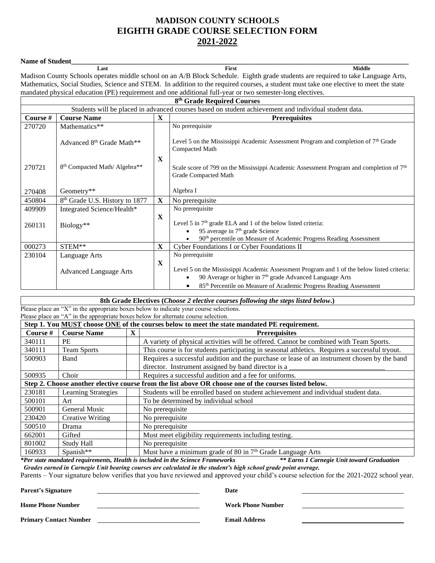## **MADISON COUNTY SCHOOLS EIGHTH GRADE COURSE SELECTION FORM 2021-2022**

**Name of Student\_\_\_\_\_\_\_\_\_\_\_\_\_\_\_\_\_\_\_\_\_\_\_\_\_\_\_\_\_\_\_\_\_\_\_\_\_\_\_\_\_\_\_\_\_\_\_\_\_\_\_\_\_\_\_\_\_\_\_\_\_\_\_\_\_\_\_\_\_\_\_\_\_\_\_\_\_\_\_\_\_\_\_\_\_\_\_\_\_\_\_\_\_\_\_ Last First Middle** Madison County Schools operates middle school on an A/B Block Schedule. Eighth grade students are required to take Language Arts, Mathematics, Social Studies, Science and STEM. In addition to the required courses, a student must take one elective to meet the state mandated physical education (PE) requirement and one additional full-year or two semester-long electives.

|          | 8 <sup>th</sup> Grade Required Courses                                                                |              |                                                                                                                                                                                                                                                      |  |  |  |  |  |
|----------|-------------------------------------------------------------------------------------------------------|--------------|------------------------------------------------------------------------------------------------------------------------------------------------------------------------------------------------------------------------------------------------------|--|--|--|--|--|
|          | Students will be placed in advanced courses based on student achievement and individual student data. |              |                                                                                                                                                                                                                                                      |  |  |  |  |  |
| Course # | X<br><b>Course Name</b><br><b>Prerequisites</b>                                                       |              |                                                                                                                                                                                                                                                      |  |  |  |  |  |
| 270720   | Mathematics**                                                                                         |              | No prerequisite                                                                                                                                                                                                                                      |  |  |  |  |  |
|          | Advanced 8 <sup>th</sup> Grade Math**                                                                 | X            | Level 5 on the Mississippi Academic Assessment Program and completion of $7th$ Grade<br>Compacted Math                                                                                                                                               |  |  |  |  |  |
| 270721   | 8 <sup>th</sup> Compacted Math/Algebra**                                                              |              | Scale score of 799 on the Mississippi Academic Assessment Program and completion of $7th$<br>Grade Compacted Math                                                                                                                                    |  |  |  |  |  |
| 270408   | Geometry**                                                                                            |              | Algebra I                                                                                                                                                                                                                                            |  |  |  |  |  |
| 450804   | 8 <sup>th</sup> Grade U.S. History to 1877                                                            | $\mathbf X$  | No prerequisite                                                                                                                                                                                                                                      |  |  |  |  |  |
| 409909   | Integrated Science/Health*                                                                            |              | No prerequisite                                                                                                                                                                                                                                      |  |  |  |  |  |
| 260131   | Biology**                                                                                             | $\mathbf X$  | Level 5 in 7 <sup>th</sup> grade ELA and 1 of the below listed criteria:<br>95 average in 7 <sup>th</sup> grade Science<br>90 <sup>th</sup> percentile on Measure of Academic Progress Reading Assessment                                            |  |  |  |  |  |
| 000273   | STEM**                                                                                                | $\mathbf{X}$ | Cyber Foundations I or Cyber Foundations II                                                                                                                                                                                                          |  |  |  |  |  |
| 230104   | Language Arts                                                                                         |              | No prerequisite                                                                                                                                                                                                                                      |  |  |  |  |  |
|          | <b>Advanced Language Arts</b>                                                                         | $\mathbf X$  | Level 5 on the Mississippi Academic Assessment Program and 1 of the below listed criteria:<br>90 Average or higher in 7 <sup>th</sup> grade Advanced Language Arts<br>85 <sup>th</sup> Percentile on Measure of Academic Progress Reading Assessment |  |  |  |  |  |

**8th Grade Electives (***Choose 2 elective courses following the steps listed below***.)** Please place an "X" in the appropriate boxes below to indicate your course selections. Please place an "A" in the appropriate boxes below for alternate course selection.

|          | Step 1. You MUST choose ONE of the courses below to meet the state mandated PE requirement. |   |                                                                                                       |  |  |
|----------|---------------------------------------------------------------------------------------------|---|-------------------------------------------------------------------------------------------------------|--|--|
| Course # | <b>Course Name</b>                                                                          | X | <b>Prerequisites</b>                                                                                  |  |  |
| 340111   | <b>PE</b>                                                                                   |   | A variety of physical activities will be offered. Cannot be combined with Team Sports.                |  |  |
| 340111   | <b>Team Sports</b>                                                                          |   | This course is for students participating in seasonal athletics. Requires a successful tryout.        |  |  |
| 500903   | Band                                                                                        |   | Requires a successful audition and the purchase or lease of an instrument chosen by the band          |  |  |
|          |                                                                                             |   | director. Instrument assigned by band director is a                                                   |  |  |
| 500935   | Choir                                                                                       |   | Requires a successful audition and a fee for uniforms.                                                |  |  |
|          |                                                                                             |   | Step 2. Choose another elective course from the list above OR choose one of the courses listed below. |  |  |
| 230181   | <b>Learning Strategies</b>                                                                  |   | Students will be enrolled based on student achievement and individual student data.                   |  |  |
| 500101   | Art                                                                                         |   | To be determined by individual school                                                                 |  |  |
| 500901   | <b>General Music</b>                                                                        |   | No prerequisite                                                                                       |  |  |
| 230420   | <b>Creative Writing</b>                                                                     |   | No prerequisite                                                                                       |  |  |
| 500510   | Drama                                                                                       |   | No prerequisite                                                                                       |  |  |
| 662001   | Gifted                                                                                      |   | Must meet eligibility requirements including testing.                                                 |  |  |
| 801002   | Study Hall                                                                                  |   | No prerequisite                                                                                       |  |  |
| 160933   | Spanish**                                                                                   |   | Must have a minimum grade of 80 in $7th$ Grade Language Arts                                          |  |  |

*\*Per state mandated requirements, Health is included in the Science Frameworks \*\* Earns 1 Carnegie Unit toward Graduation Grades earned in Carnegie Unit bearing courses are calculated in the student's high school grade point average.* 

Parents – Your signature below verifies that you have reviewed and approved your child's course selection for the 2021-2022 school year.

Parent's Signature **Date Date** 

**Home Phone Number Work Phone Number**

Primary Contact Number **CONTERNATION** Email Address